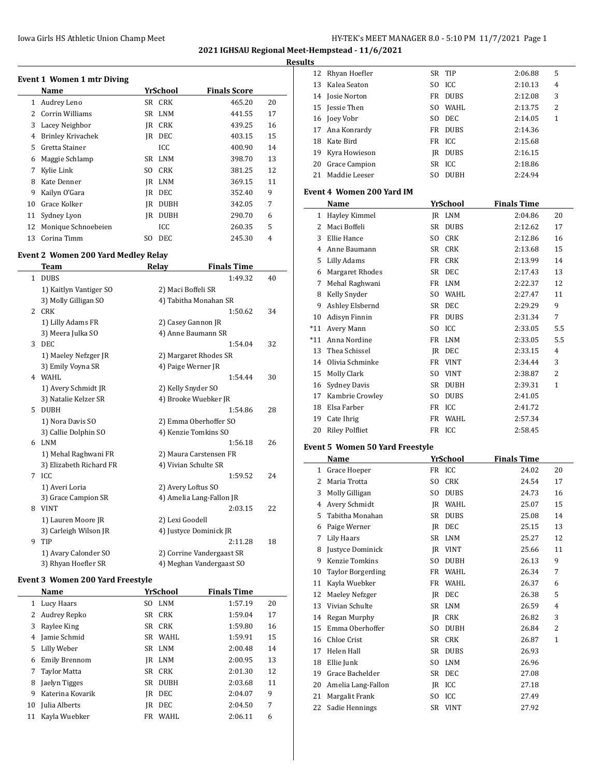#### Iowa Girls HS Athletic Union Champ Meet **Hy-TEK's MEET MANAGER 8.0 - 5:10 PM 11/7/2021** Page 1

Rhyan Hoefler SR TIP 2:06.88 5

**2021 IGHSAU Regional Meet-Hempstead - 11/6/2021**

#### **Results**

| <b>Event 1 Women 1 mtr Diving</b> |                          |     |             |                     |    |
|-----------------------------------|--------------------------|-----|-------------|---------------------|----|
|                                   | Name                     |     | YrSchool    | <b>Finals Score</b> |    |
| 1                                 | Audrey Leno              |     | SR CRK      | 465.20              | 20 |
| 2                                 | Corrin Williams          |     | SR LNM      | 441.55              | 17 |
| 3                                 | Lacey Neighbor           | IR  | <b>CRK</b>  | 439.25              | 16 |
| 4                                 | <b>Brinley Krivachek</b> | IR  | DEC         | 403.15              | 15 |
| 5.                                | Gretta Stainer           |     | ICC         | 400.90              | 14 |
| 6                                 | Maggie Schlamp           | SR  | LNM         | 398.70              | 13 |
| 7                                 | Kylie Link               | SO  | <b>CRK</b>  | 381.25              | 12 |
| 8                                 | Kate Denner              | IR  | <b>LNM</b>  | 369.15              | 11 |
| 9                                 | Kailyn O'Gara            | IR  | <b>DEC</b>  | 352.40              | 9  |
| 10                                | Grace Kolker             | IR  | <b>DUBH</b> | 342.05              | 7  |
| 11                                | Sydney Lyon              | IR  | <b>DUBH</b> | 290.70              | 6  |
| 12                                | Monique Schnoebeien      |     | ICC         | 260.35              | 5  |
| 13                                | Corina Timm              | SO. | <b>DEC</b>  | 245.30              | 4  |

## **Event 2 Women 200 Yard Medley Relay**

|              | Team                    | Relay                  | <b>Finals Time</b>        |    |
|--------------|-------------------------|------------------------|---------------------------|----|
| $\mathbf{1}$ | <b>DUBS</b>             |                        | 1:49.32                   | 40 |
|              | 1) Kaitlyn Vantiger SO  | 2) Maci Boffeli SR     |                           |    |
|              | 3) Molly Gilligan SO    | 4) Tabitha Monahan SR  |                           |    |
| 2            | <b>CRK</b>              |                        | 1:50.62                   | 34 |
|              | 1) Lilly Adams FR       | 2) Casey Gannon JR     |                           |    |
|              | 3) Meera Julka SO       | 4) Anne Baumann SR     |                           |    |
| 3            | DEC.                    |                        | 1:54.04                   | 32 |
|              | 1) Maeley Nefzger JR    | 2) Margaret Rhodes SR  |                           |    |
|              | 3) Emily Voyna SR       | 4) Paige Werner JR     |                           |    |
|              | 4 WAHL                  |                        | 1:54.44                   | 30 |
|              | 1) Avery Schmidt JR     | 2) Kelly Snyder SO     |                           |    |
|              | 3) Natalie Kelzer SR    | 4) Brooke Wuebker JR   |                           |    |
| 5.           | <b>DUBH</b>             |                        | 1:54.86                   | 28 |
|              | 1) Nora Davis SO        | 2) Emma Oberhoffer SO  |                           |    |
|              | 3) Callie Dolphin SO    | 4) Kenzie Tomkins SO   |                           |    |
| 6            | <b>LNM</b>              |                        | 1:56.18                   | 26 |
|              | 1) Mehal Raghwani FR    | 2) Maura Carstensen FR |                           |    |
|              | 3) Elizabeth Richard FR | 4) Vivian Schulte SR   |                           |    |
| 7            | ICC                     |                        | 1:59.52                   | 24 |
|              | 1) Averi Loria          | 2) Avery Loftus SO     |                           |    |
|              | 3) Grace Campion SR     |                        | 4) Amelia Lang-Fallon JR  |    |
| 8            | <b>VINT</b>             |                        | 2:03.15                   | 22 |
|              | 1) Lauren Moore JR      | 2) Lexi Goodell        |                           |    |
|              | 3) Carleigh Wilson JR   | 4) Justyce Dominick JR |                           |    |
| 9            | TIP                     |                        | 2:11.28                   | 18 |
|              | 1) Avary Calonder SO    |                        | 2) Corrine Vandergaast SR |    |
|              | 3) Rhyan Hoefler SR     |                        | 4) Meghan Vandergaast SO  |    |

#### **Event 3 Women 200 Yard Freestyle**

|    | Name                 | YrSchool |            | <b>Finals Time</b> |    |
|----|----------------------|----------|------------|--------------------|----|
| 1  | Lucy Haars           |          | SO LNM     | 1:57.19            | 20 |
| 2  | Audrey Repko         |          | SR CRK     | 1:59.04            | 17 |
| 3  | Raylee King          |          | SR CRK     | 1:59.80            | 16 |
| 4  | Jamie Schmid         |          | SR WAHL    | 1:59.91            | 15 |
| 5  | Lilly Weber          |          | SR LNM     | 2:00.48            | 14 |
| 6  | <b>Emily Brennom</b> |          | IR LNM     | 2:00.95            | 13 |
| 7  | <b>Taylor Matta</b>  |          | SR CRK     | 2:01.30            | 12 |
| 8  | Jaelyn Tigges        | SR       | DUBH       | 2:03.68            | 11 |
| 9  | Katerina Kovarik     | IR       | <b>DEC</b> | 2:04.07            | 9  |
| 10 | Julia Alberts        | IR       | <b>DEC</b> | 2:04.50            | 7  |
| 11 | Kayla Wuebker        | FR       | WAHI.      | 2:06.11            | 6  |
|    |                      |          |            |                    |    |

| 13           | Kalea Seaton                           | SO  | ICC                       | 2:10.13            | 4        |
|--------------|----------------------------------------|-----|---------------------------|--------------------|----------|
| 14           | Josie Norton                           | FR  | <b>DUBS</b>               | 2:12.08            | 3        |
| 15           | Jessie Then                            | SO. | WAHL                      | 2:13.75            | 2        |
|              | 16 Joey Vobr                           | SO. | DEC                       | 2:14.05            | 1        |
|              | 17 Ana Konrardy                        | FR  | <b>DUBS</b>               | 2:14.36            |          |
|              | 18 Kate Bird                           |     | FR ICC                    | 2:15.68            |          |
|              | 19 Kyra Howieson                       |     | JR DUBS                   | 2:16.15            |          |
|              | 20 Grace Campion                       | SR  | ICC                       | 2:18.86            |          |
| 21           | Maddie Leeser                          | SO. | <b>DUBH</b>               | 2:24.94            |          |
|              | <b>Event 4 Women 200 Yard IM</b>       |     |                           |                    |          |
|              |                                        |     |                           | <b>Finals Time</b> |          |
|              | Name                                   |     | <b>YrSchool</b><br>JR LNM |                    | 20       |
|              | 1 Hayley Kimmel                        |     | SR DUBS                   | 2:04.86            |          |
| 3            | 2 Maci Boffeli<br>Ellie Hance          |     | SO CRK                    | 2:12.62<br>2:12.86 | 17<br>16 |
| 4            | Anne Baumann                           |     | SR CRK                    |                    | 15       |
|              |                                        | FR  | <b>CRK</b>                | 2:13.68<br>2:13.99 | 14       |
| 5            | Lilly Adams<br><b>Margaret Rhodes</b>  |     | SR DEC                    | 2:17.43            | 13       |
| 6            |                                        |     | FR LNM                    | 2:22.37            | 12       |
| 7            | Mehal Raghwani<br>8 Kelly Snyder       | SO. | <b>WAHL</b>               |                    | 11       |
|              |                                        |     | SR DEC                    | 2:27.47            | 9        |
|              | 9 Ashley Elsbernd<br>10 Adisyn Finnin  |     | FR DUBS                   | 2:29.29            | 7        |
| *11          | Avery Mann                             | SO. | ICC                       | 2:31.34            | 5.5      |
|              | *11 Anna Nordine                       |     | FR LNM                    | 2:33.05            | 5.5      |
|              | 13 Thea Schissel                       |     | JR DEC                    | 2:33.05<br>2:33.15 | 4        |
|              | 14 Olivia Schminke                     |     | FR VINT                   | 2:34.44            | 3        |
|              | 15 Molly Clark                         | SO. | <b>VINT</b>               |                    | 2        |
|              | 16 Sydney Davis                        | SR  | <b>DUBH</b>               | 2:38.87            | 1        |
| 17           | Kambrie Crowley                        | SO. | <b>DUBS</b>               | 2:39.31<br>2:41.05 |          |
|              |                                        |     |                           |                    |          |
|              |                                        |     |                           |                    |          |
| 18           | Elsa Farber                            |     | FR ICC                    | 2:41.72            |          |
|              | 19 Cate Ihrig                          |     | FR WAHL                   | 2:57.34            |          |
| 20           | <b>Riley Polfliet</b>                  |     | FR ICC                    | 2:58.45            |          |
|              | <b>Event 5 Women 50 Yard Freestyle</b> |     |                           |                    |          |
|              | Name                                   |     | <b>YrSchool</b>           | <b>Finals Time</b> |          |
|              | 1 Grace Hoeper                         |     | FR ICC                    | 24.02              | 20       |
| $\mathbf{2}$ | Maria Trotta                           | SO. | <b>CRK</b>                | 24.54              | 17       |
| 3            | Molly Gilligan                         |     | SO DUBS                   | 24.73              | 16       |
|              | 4 Avery Schmidt                        |     | JR WAHL                   | 25.07              | 15       |
| 5            | Tabitha Monahan                        | SR  | <b>DUBS</b>               | 25.08              | 14       |
| 6            | Paige Werner                           |     | JR DEC                    | 25.15              | 13       |
| 7            | Lily Haars                             | SR  | LNM                       | 25.27              | 12       |
| 8            | Justyce Dominick                       | JR  | <b>VINT</b>               | 25.66              | 11       |
| 9            | Kenzie Tomkins                         | SO  | DUBH                      | 26.13              | 9        |
| 10           | <b>Taylor Borgerding</b>               |     | FR WAHL                   | 26.34              | 7        |
| 11           | Kayla Wuebker                          | FR  | WAHL                      | 26.37              | 6        |
| 12           | Maeley Nefzger                         | JR  | DEC                       | 26.38              | 5        |
| 13           | Vivian Schulte                         | SR  | LNM                       | 26.59              | 4        |
| 14           | Regan Murphy                           | JR  | <b>CRK</b>                | 26.82              | 3        |
| 15           | Emma Oberhoffer                        | SO  | <b>DUBH</b>               | 26.84              | 2        |
| 16           | Chloe Crist                            | SR  | <b>CRK</b>                | 26.87              | 1        |
| 17           | Helen Hall                             | SR  | <b>DUBS</b>               | 26.93              |          |
| 18           | Ellie Junk                             | SO  | LNM                       | 26.96              |          |
| 19           | Grace Bachelder                        | SR  | DEC                       | 27.08              |          |
| 20           | Amelia Lang-Fallon                     | JR  | ICC                       | 27.18              |          |
| 21<br>22     | Margalit Frank<br>Sadie Hennings       | SO  | ICC<br>SR VINT            | 27.49<br>27.92     |          |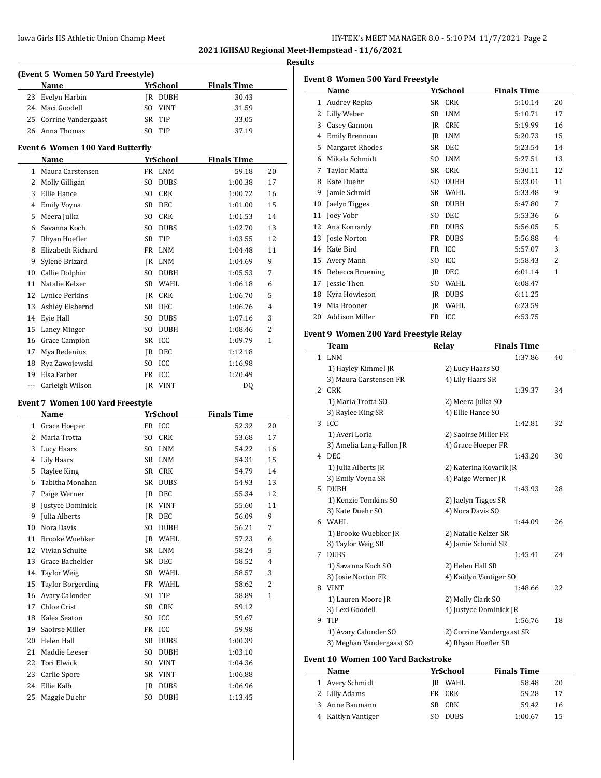| IY-TEK's MEET MANAGER 8.0 - 5:10 PM 11/7/2021 Page 2 |  |
|------------------------------------------------------|--|
|------------------------------------------------------|--|

**2021 IGHSAU Regional Meet-Hempstead - 11/6/2021 Results**

| (Event 5 Women 50 Yard Freestyle)             |                                         |                               |                    |                |  |  |
|-----------------------------------------------|-----------------------------------------|-------------------------------|--------------------|----------------|--|--|
|                                               | Name                                    | YrSchool                      | <b>Finals Time</b> |                |  |  |
| 23                                            | Evelyn Harbin                           | IR DUBH                       | 30.43              |                |  |  |
| 24                                            | Maci Goodell                            | SO VINT                       | 31.59              |                |  |  |
| 25                                            | Corrine Vandergaast                     | SR<br>TIP                     | 33.05              |                |  |  |
| 26                                            | Anna Thomas                             | TIP<br>SO.                    | 37.19              |                |  |  |
|                                               | <b>Event 6 Women 100 Yard Butterfly</b> |                               |                    |                |  |  |
| <b>YrSchool</b><br><b>Finals Time</b><br>Name |                                         |                               |                    |                |  |  |
| 1                                             | Maura Carstensen                        | FR LNM                        | 59.18              | 20             |  |  |
| 2                                             | Molly Gilligan                          | S <sub>O</sub><br><b>DUBS</b> | 1:00.38            | 17             |  |  |
| 3                                             | Ellie Hance                             | SO CRK                        | 1:00.72            | 16             |  |  |
| 4                                             | <b>Emily Voyna</b>                      | SR DEC                        | 1:01.00            | 15             |  |  |
| 5                                             | Meera Julka                             | SO CRK                        | 1:01.53            | 14             |  |  |
| 6                                             | Savanna Koch                            | <b>DUBS</b><br>SO.            | 1:02.70            | 13             |  |  |
| 7                                             | Rhyan Hoefler                           | <b>SR</b><br>TIP              | 1:03.55            | 12             |  |  |
| 8                                             | Elizabeth Richard                       | FR LNM                        | 1:04.48            | 11             |  |  |
| 9                                             | Sylene Brizard                          | IR LNM                        | 1:04.69            | 9              |  |  |
| 10                                            | Callie Dolphin                          | SO.<br>DUBH                   | 1:05.53            | 7              |  |  |
| 11                                            | Natalie Kelzer                          | WAHL<br>SR                    | 1:06.18            | 6              |  |  |
| 12                                            | Lynice Perkins                          | <b>CRK</b><br>IR              | 1:06.70            | 5              |  |  |
| 13                                            | Ashley Elsbernd                         | SR DEC                        | 1:06.76            | $\overline{4}$ |  |  |
| 14                                            | Evie Hall                               | SO.<br><b>DUBS</b>            | 1:07.16            | 3              |  |  |
| 15                                            | Laney Minger                            | SO.<br><b>DUBH</b>            | 1:08.46            | $\overline{2}$ |  |  |
| 16                                            | Grace Campion                           | ICC<br>SR                     | 1:09.79            | $\mathbf{1}$   |  |  |
| 17                                            | Mya Redenius                            | IR<br>DEC                     | 1:12.18            |                |  |  |
| 18                                            | Rya Zawojewski                          | ICC<br>SO.                    | 1:16.98            |                |  |  |
| 19                                            | Elsa Farber                             | ICC<br>FR                     | 1:20.49            |                |  |  |
| $---$                                         | Carleigh Wilson                         | <b>VINT</b><br><b>IR</b>      | DO.                |                |  |  |
|                                               | <b>Event 7 Women 100 Yard Freestyle</b> |                               |                    |                |  |  |
|                                               | Name                                    | <b>YrSchool</b>               | <b>Finals Time</b> |                |  |  |

|                | Name                     |                | YFSCHOOL    | rinais Time |                |
|----------------|--------------------------|----------------|-------------|-------------|----------------|
| 1              | Grace Hoeper             |                | FR ICC      | 52.32       | 20             |
| 2              | Maria Trotta             | S <sub>0</sub> | <b>CRK</b>  | 53.68       | 17             |
| 3              | Lucy Haars               | S <sub>0</sub> | <b>LNM</b>  | 54.22       | 16             |
| $\overline{4}$ | Lily Haars               | <b>SR</b>      | <b>LNM</b>  | 54.31       | 15             |
| 5              | Raylee King              | <b>SR</b>      | <b>CRK</b>  | 54.79       | 14             |
| 6              | Tabitha Monahan          | <b>SR</b>      | <b>DUBS</b> | 54.93       | 13             |
| 7              | Paige Werner             | IR             | DEC         | 55.34       | 12             |
| 8              | Justyce Dominick         | <b>JR</b>      | <b>VINT</b> | 55.60       | 11             |
| 9              | Julia Alberts            | IR             | DEC         | 56.09       | 9              |
| 10             | Nora Davis               | S <sub>0</sub> | <b>DUBH</b> | 56.21       | 7              |
| 11             | <b>Brooke Wuebker</b>    | IR.            | <b>WAHL</b> | 57.23       | 6              |
| 12             | Vivian Schulte           | SR             | <b>LNM</b>  | 58.24       | 5              |
| 13             | Grace Bachelder          | <b>SR</b>      | <b>DEC</b>  | 58.52       | 4              |
| 14             | <b>Taylor Weig</b>       | SR             | WAHL        | 58.57       | 3              |
| 15             | <b>Taylor Borgerding</b> | FR             | <b>WAHL</b> | 58.62       | $\overline{2}$ |
| 16             | Avary Calonder           | S <sub>O</sub> | TIP         | 58.89       | $\mathbf{1}$   |
| 17             | Chloe Crist              | <b>SR</b>      | <b>CRK</b>  | 59.12       |                |
| 18             | Kalea Seaton             | S <sub>0</sub> | ICC         | 59.67       |                |
| 19             | Saoirse Miller           | FR             | ICC         | 59.98       |                |
| 20             | Helen Hall               | <b>SR</b>      | <b>DUBS</b> | 1:00.39     |                |
| 21             | Maddie Leeser            | S <sub>O</sub> | <b>DUBH</b> | 1:03.10     |                |
| 22             | <b>Tori Elwick</b>       | S <sub>0</sub> | <b>VINT</b> | 1:04.36     |                |
| 23             | Carlie Spore             | SR             | <b>VINT</b> | 1:06.88     |                |
| 24             | Ellie Kalb               | IR             | <b>DUBS</b> | 1:06.96     |                |
| 25             | Maggie Duehr             | S <sub>O</sub> | <b>DUBH</b> | 1:13.45     |                |
|                |                          |                |             |             |                |

| <b>Event 8 Women 500 Yard Freestyle</b> |                        |                |             |                    |                |
|-----------------------------------------|------------------------|----------------|-------------|--------------------|----------------|
|                                         | Name                   |                | YrSchool    | <b>Finals Time</b> |                |
| 1                                       | Audrey Repko           | SR             | <b>CRK</b>  | 5:10.14            | 20             |
| 2                                       | Lilly Weber            | <b>SR</b>      | <b>LNM</b>  | 5:10.71            | 17             |
| 3                                       | Casey Gannon           | IR             | <b>CRK</b>  | 5:19.99            | 16             |
| 4                                       | <b>Emily Brennom</b>   | IR             | <b>LNM</b>  | 5:20.73            | 15             |
| 5                                       | <b>Margaret Rhodes</b> | SR.            | DEC.        | 5:23.54            | 14             |
| 6                                       | Mikala Schmidt         | S <sub>O</sub> | <b>LNM</b>  | 5:27.51            | 13             |
| 7                                       | <b>Taylor Matta</b>    | SR             | <b>CRK</b>  | 5:30.11            | 12             |
| 8                                       | Kate Duehr             | S <sub>O</sub> | <b>DUBH</b> | 5:33.01            | 11             |
| 9                                       | Jamie Schmid           | <b>SR</b>      | <b>WAHL</b> | 5:33.48            | 9              |
| 10                                      | Jaelyn Tigges          | <b>SR</b>      | <b>DUBH</b> | 5:47.80            | 7              |
| 11                                      | Joey Vobr              | SO.            | DEC         | 5:53.36            | 6              |
| 12                                      | Ana Konrardy           | FR             | <b>DUBS</b> | 5:56.05            | 5              |
| 13                                      | Josie Norton           | FR             | <b>DUBS</b> | 5:56.88            | 4              |
| 14                                      | Kate Bird              | <b>FR</b>      | <b>ICC</b>  | 5:57.07            | 3              |
| 15                                      | Avery Mann             | S <sub>O</sub> | ICC         | 5:58.43            | $\overline{2}$ |
| 16                                      | Rebecca Bruening       | IR             | <b>DEC</b>  | 6:01.14            | 1              |
| 17                                      | Jessie Then            | SO.            | <b>WAHL</b> | 6:08.47            |                |
| 18                                      | Kyra Howieson          | IR             | <b>DUBS</b> | 6:11.25            |                |
| 19                                      | Mia Brooner            | IR             | <b>WAHL</b> | 6:23.59            |                |
| 20                                      | Addison Miller         | FR             | ICC         | 6:53.75            |                |
|                                         |                        |                |             |                    |                |

## **Event 9 Women 200 Yard Freestyle Relay**

|               | <b>Team</b>              | Relay                  | <b>Finals Time</b>        |    |
|---------------|--------------------------|------------------------|---------------------------|----|
| $\mathbf{1}$  | LNM                      |                        | 1:37.86                   | 40 |
|               | 1) Hayley Kimmel JR      | 2) Lucy Haars SO       |                           |    |
|               | 3) Maura Carstensen FR   | 4) Lily Haars SR       |                           |    |
| $\mathcal{L}$ | CRK                      |                        | 1:39.37                   | 34 |
|               | 1) Maria Trotta SO       | 2) Meera Julka SO      |                           |    |
|               | 3) Raylee King SR        | 4) Ellie Hance SO      |                           |    |
| 3             | ICC                      |                        | 1:42.81                   | 32 |
|               | 1) Averi Loria           | 2) Saoirse Miller FR   |                           |    |
|               | 3) Amelia Lang-Fallon JR | 4) Grace Hoeper FR     |                           |    |
| 4             | DEC.                     |                        | 1:43.20                   | 30 |
|               | 1) Julia Alberts JR      | 2) Katerina Kovarik JR |                           |    |
|               | 3) Emily Voyna SR        | 4) Paige Werner JR     |                           |    |
| 5.            | <b>DUBH</b>              |                        | 1:43.93                   | 28 |
|               | 1) Kenzie Tomkins SO     | 2) Jaelyn Tigges SR    |                           |    |
|               | 3) Kate Duehr SO         | 4) Nora Davis SO       |                           |    |
| 6             | WAHL                     |                        | 1:44.09                   | 26 |
|               | 1) Brooke Wuebker JR     | 2) Natalie Kelzer SR   |                           |    |
|               | 3) Taylor Weig SR        | 4) Jamie Schmid SR     |                           |    |
| 7             | <b>DUBS</b>              |                        | 1:45.41                   | 24 |
|               | 1) Savanna Koch SO       | 2) Helen Hall SR       |                           |    |
|               | 3) Josie Norton FR       | 4) Kaitlyn Vantiger SO |                           |    |
| 8             | VINT                     |                        | 1:48.66                   | 22 |
|               | 1) Lauren Moore JR       | 2) Molly Clark SO      |                           |    |
|               | 3) Lexi Goodell          | 4) Justyce Dominick JR |                           |    |
| 9             | TIP                      |                        | 1:56.76                   | 18 |
|               | 1) Avary Calonder SO     |                        | 2) Corrine Vandergaast SR |    |
|               | 3) Meghan Vandergaast SO | 4) Rhyan Hoefler SR    |                           |    |

# **Event 10 Women 100 Yard Backstroke**

| Name               | YrSchool | <b>Finals Time</b> |    |
|--------------------|----------|--------------------|----|
| 1 Avery Schmidt    | JR WAHL  | 58.48              | 20 |
| 2 Lilly Adams      | FR CRK   | 59.28              | 17 |
| 3 Anne Baumann     | SR CRK   | 59.42              | 16 |
| 4 Kaitlyn Vantiger | SO DUBS  | 1:00.67            | 15 |